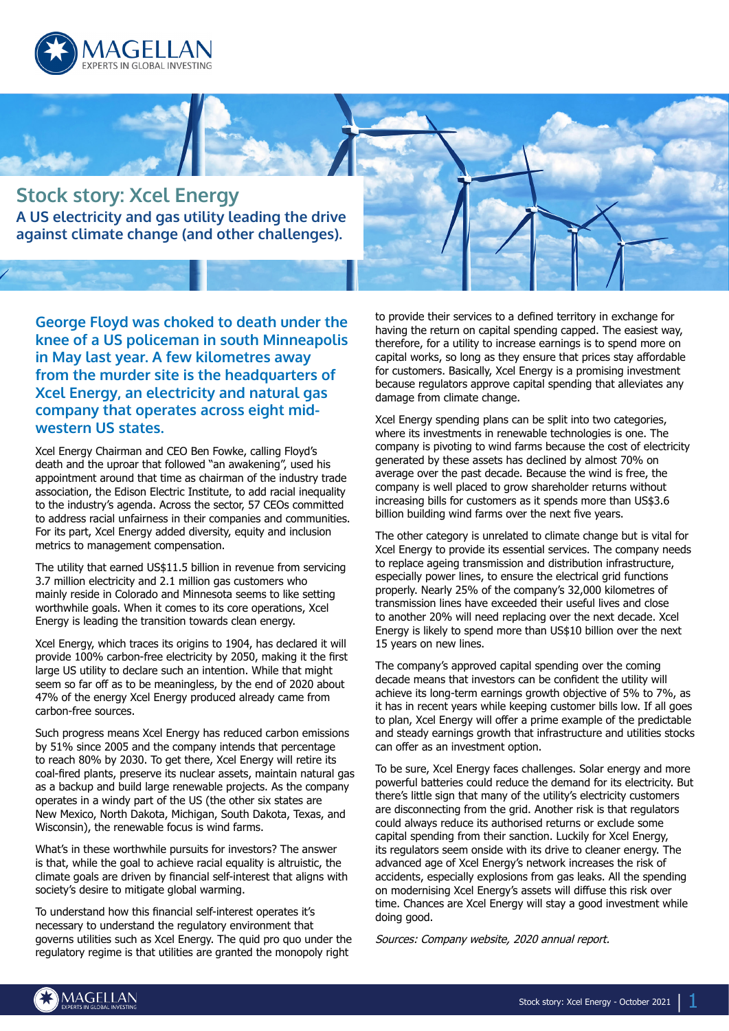



**George Floyd was choked to death under the knee of a US policeman in south Minneapolis in May last year. A few kilometres away from the murder site is the headquarters of Xcel Energy, an electricity and natural gas company that operates across eight midwestern US states.**

Xcel Energy Chairman and CEO Ben Fowke, calling Floyd's death and the uproar that followed "an awakening", used his appointment around that time as chairman of the industry trade association, the Edison Electric Institute, to add racial inequality to the industry's agenda. Across the sector, 57 CEOs committed to address racial unfairness in their companies and communities. For its part, Xcel Energy added diversity, equity and inclusion metrics to management compensation.

The utility that earned US\$11.5 billion in revenue from servicing 3.7 million electricity and 2.1 million gas customers who mainly reside in Colorado and Minnesota seems to like setting worthwhile goals. When it comes to its core operations, Xcel Energy is leading the transition towards clean energy.

Xcel Energy, which traces its origins to 1904, has declared it will provide 100% carbon-free electricity by 2050, making it the first large US utility to declare such an intention. While that might seem so far off as to be meaningless, by the end of 2020 about 47% of the energy Xcel Energy produced already came from carbon-free sources.

Such progress means Xcel Energy has reduced carbon emissions by 51% since 2005 and the company intends that percentage to reach 80% by 2030. To get there, Xcel Energy will retire its coal-fired plants, preserve its nuclear assets, maintain natural gas as a backup and build large renewable projects. As the company operates in a windy part of the US (the other six states are New Mexico, North Dakota, Michigan, South Dakota, Texas, and Wisconsin), the renewable focus is wind farms.

What's in these worthwhile pursuits for investors? The answer is that, while the goal to achieve racial equality is altruistic, the climate goals are driven by financial self-interest that aligns with society's desire to mitigate global warming.

To understand how this financial self-interest operates it's necessary to understand the regulatory environment that governs utilities such as Xcel Energy. The quid pro quo under the regulatory regime is that utilities are granted the monopoly right

to provide their services to a defined territory in exchange for having the return on capital spending capped. The easiest way, therefore, for a utility to increase earnings is to spend more on capital works, so long as they ensure that prices stay affordable for customers. Basically, Xcel Energy is a promising investment because regulators approve capital spending that alleviates any damage from climate change.

Xcel Energy spending plans can be split into two categories, where its investments in renewable technologies is one. The company is pivoting to wind farms because the cost of electricity generated by these assets has declined by almost 70% on average over the past decade. Because the wind is free, the company is well placed to grow shareholder returns without increasing bills for customers as it spends more than US\$3.6 billion building wind farms over the next five years.

The other category is unrelated to climate change but is vital for Xcel Energy to provide its essential services. The company needs to replace ageing transmission and distribution infrastructure, especially power lines, to ensure the electrical grid functions properly. Nearly 25% of the company's 32,000 kilometres of transmission lines have exceeded their useful lives and close to another 20% will need replacing over the next decade. Xcel Energy is likely to spend more than US\$10 billion over the next 15 years on new lines.

The company's approved capital spending over the coming decade means that investors can be confident the utility will achieve its long-term earnings growth objective of 5% to 7%, as it has in recent years while keeping customer bills low. If all goes to plan, Xcel Energy will offer a prime example of the predictable and steady earnings growth that infrastructure and utilities stocks can offer as an investment option.

To be sure, Xcel Energy faces challenges. Solar energy and more powerful batteries could reduce the demand for its electricity. But there's little sign that many of the utility's electricity customers are disconnecting from the grid. Another risk is that regulators could always reduce its authorised returns or exclude some capital spending from their sanction. Luckily for Xcel Energy, its regulators seem onside with its drive to cleaner energy. The advanced age of Xcel Energy's network increases the risk of accidents, especially explosions from gas leaks. All the spending on modernising Xcel Energy's assets will diffuse this risk over time. Chances are Xcel Energy will stay a good investment while doing good.

Sources: Company website, 2020 annual report.